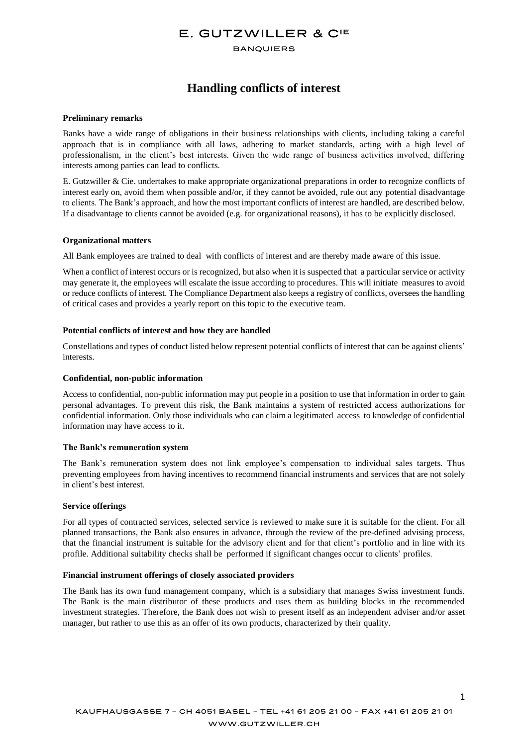# E. GUTZWILLER & CIE

### **BANQUIERS**

# **Handling conflicts of interest**

### **Preliminary remarks**

Banks have a wide range of obligations in their business relationships with clients, including taking a careful approach that is in compliance with all laws, adhering to market standards, acting with a high level of professionalism, in the client's best interests. Given the wide range of business activities involved, differing interests among parties can lead to conflicts.

E. Gutzwiller & Cie. undertakes to make appropriate organizational preparations in order to recognize conflicts of interest early on, avoid them when possible and/or, if they cannot be avoided, rule out any potential disadvantage to clients. The Bank's approach, and how the most important conflicts of interest are handled, are described below. If a disadvantage to clients cannot be avoided (e.g. for organizational reasons), it has to be explicitly disclosed.

#### **Organizational matters**

All Bank employees are trained to deal with conflicts of interest and are thereby made aware of this issue.

When a conflict of interest occurs or is recognized, but also when it is suspected that a particular service or activity may generate it, the employees will escalate the issue according to procedures. This will initiate measures to avoid or reduce conflicts of interest. The Compliance Department also keeps a registry of conflicts, oversees the handling of critical cases and provides a yearly report on this topic to the executive team.

# **Potential conflicts of interest and how they are handled**

Constellations and types of conduct listed below represent potential conflicts of interest that can be against clients' interests.

# **Confidential, non-public information**

Access to confidential, non-public information may put people in a position to use that information in order to gain personal advantages. To prevent this risk, the Bank maintains a system of restricted access authorizations for confidential information. Only those individuals who can claim a legitimated access to knowledge of confidential information may have access to it.

#### **The Bank's remuneration system**

The Bank's remuneration system does not link employee's compensation to individual sales targets. Thus preventing employees from having incentives to recommend financial instruments and services that are not solely in client's best interest.

#### **Service offerings**

For all types of contracted services, selected service is reviewed to make sure it is suitable for the client. For all planned transactions, the Bank also ensures in advance, through the review of the pre-defined advising process, that the financial instrument is suitable for the advisory client and for that client's portfolio and in line with its profile. Additional suitability checks shall be performed if significant changes occur to clients' profiles.

#### **Financial instrument offerings of closely associated providers**

The Bank has its own fund management company, which is a subsidiary that manages Swiss investment funds. The Bank is the main distributor of these products and uses them as building blocks in the recommended investment strategies. Therefore, the Bank does not wish to present itself as an independent adviser and/or asset manager, but rather to use this as an offer of its own products, characterized by their quality.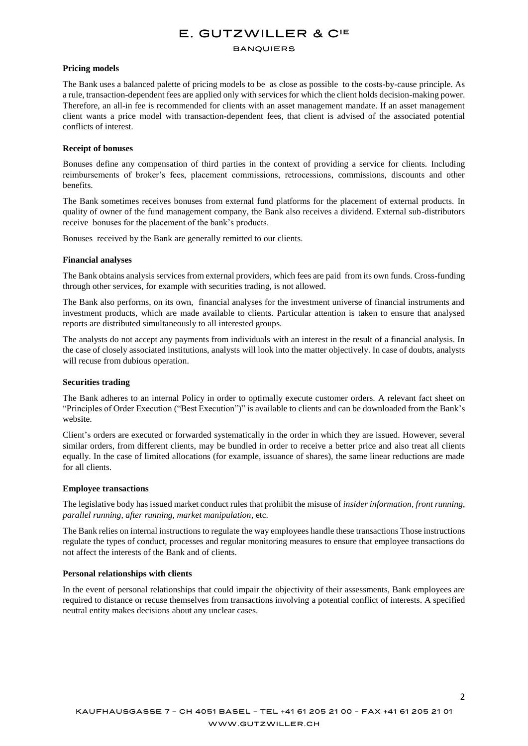# E. GUTZWILLER & CIE

#### **BANQUIERS**

### **Pricing models**

The Bank uses a balanced palette of pricing models to be as close as possible to the costs-by-cause principle. As a rule, transaction-dependent fees are applied only with services for which the client holds decision-making power. Therefore, an all-in fee is recommended for clients with an asset management mandate. If an asset management client wants a price model with transaction-dependent fees, that client is advised of the associated potential conflicts of interest.

### **Receipt of bonuses**

Bonuses define any compensation of third parties in the context of providing a service for clients. Including reimbursements of broker's fees, placement commissions, retrocessions, commissions, discounts and other benefits.

The Bank sometimes receives bonuses from external fund platforms for the placement of external products. In quality of owner of the fund management company, the Bank also receives a dividend. External sub-distributors receive bonuses for the placement of the bank's products.

Bonuses received by the Bank are generally remitted to our clients.

#### **Financial analyses**

The Bank obtains analysis services from external providers, which fees are paid from its own funds. Cross-funding through other services, for example with securities trading, is not allowed.

The Bank also performs, on its own, financial analyses for the investment universe of financial instruments and investment products, which are made available to clients. Particular attention is taken to ensure that analysed reports are distributed simultaneously to all interested groups.

The analysts do not accept any payments from individuals with an interest in the result of a financial analysis. In the case of closely associated institutions, analysts will look into the matter objectively. In case of doubts, analysts will recuse from dubious operation.

#### **Securities trading**

The Bank adheres to an internal Policy in order to optimally execute customer orders. A relevant fact sheet on "Principles of Order Execution ("Best Execution")" is available to clients and can be downloaded from the Bank's website.

Client's orders are executed or forwarded systematically in the order in which they are issued. However, several similar orders, from different clients, may be bundled in order to receive a better price and also treat all clients equally. In the case of limited allocations (for example, issuance of shares), the same linear reductions are made for all clients.

#### **Employee transactions**

The legislative body has issued market conduct rules that prohibit the misuse of *insider information, front running, parallel running, after running, market manipulation*, etc.

The Bank relies on internal instructions to regulate the way employees handle these transactions Those instructions regulate the types of conduct, processes and regular monitoring measures to ensure that employee transactions do not affect the interests of the Bank and of clients.

# **Personal relationships with clients**

In the event of personal relationships that could impair the objectivity of their assessments, Bank employees are required to distance or recuse themselves from transactions involving a potential conflict of interests. A specified neutral entity makes decisions about any unclear cases.